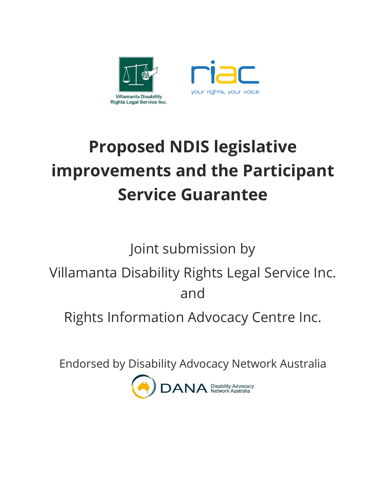

# **Proposed NDIS legislative improvements and the Participant Service Guarantee**

Joint submission by

Villamanta Disability Rights Legal Service Inc. and

Rights Information Advocacy Centre Inc.

Endorsed by Disability Advocacy Network Australia

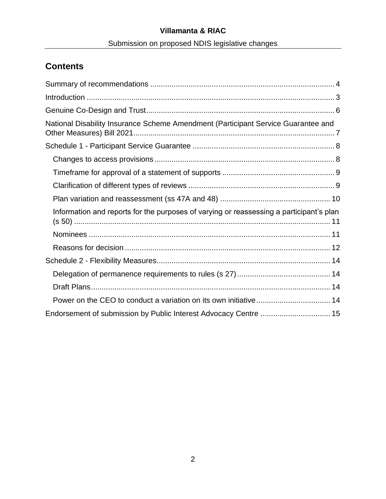# **Villamanta & RIAC** Submission on proposed NDIS legislative changes

# **Contents**

| National Disability Insurance Scheme Amendment (Participant Service Guarantee and       |
|-----------------------------------------------------------------------------------------|
|                                                                                         |
|                                                                                         |
|                                                                                         |
|                                                                                         |
|                                                                                         |
| Information and reports for the purposes of varying or reassessing a participant's plan |
|                                                                                         |
|                                                                                         |
|                                                                                         |
|                                                                                         |
|                                                                                         |
|                                                                                         |
| Endorsement of submission by Public Interest Advocacy Centre  15                        |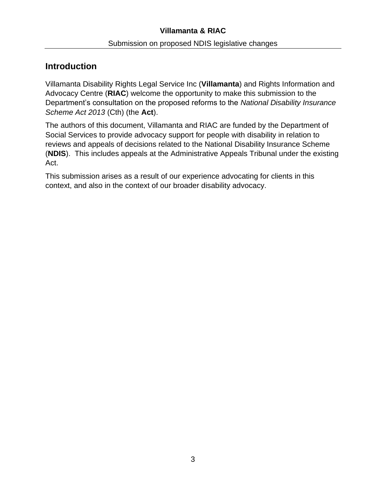# <span id="page-2-0"></span>**Introduction**

Villamanta Disability Rights Legal Service Inc (**Villamanta**) and Rights Information and Advocacy Centre (**RIAC**) welcome the opportunity to make this submission to the Department's consultation on the proposed reforms to the *National Disability Insurance Scheme Act 2013* (Cth) (the **Act**).

The authors of this document, Villamanta and RIAC are funded by the Department of Social Services to provide advocacy support for people with disability in relation to reviews and appeals of decisions related to the National Disability Insurance Scheme (**NDIS**). This includes appeals at the Administrative Appeals Tribunal under the existing Act.

This submission arises as a result of our experience advocating for clients in this context, and also in the context of our broader disability advocacy.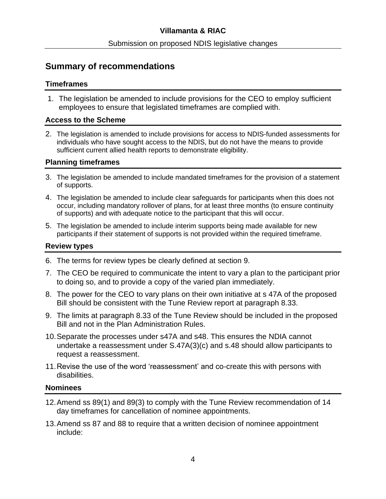# <span id="page-3-0"></span>**Summary of recommendations**

#### **Timeframes**

1. The legislation be amended to include provisions for the CEO to employ sufficient employees to ensure that legislated timeframes are complied with.

#### **Access to the Scheme**

2. The legislation is amended to include provisions for access to NDIS-funded assessments for individuals who have sought access to the NDIS, but do not have the means to provide sufficient current allied health reports to demonstrate eligibility.

## **Planning timeframes**

- 3. The legislation be amended to include mandated timeframes for the provision of a statement of supports.
- 4. The legislation be amended to include clear safeguards for participants when this does not occur, including mandatory rollover of plans, for at least three months (to ensure continuity of supports) and with adequate notice to the participant that this will occur.
- 5. The legislation be amended to include interim supports being made available for new participants if their statement of supports is not provided within the required timeframe.

## **Review types**

- 6. The terms for review types be clearly defined at section 9.
- 7. The CEO be required to communicate the intent to vary a plan to the participant prior to doing so, and to provide a copy of the varied plan immediately.
- 8. The power for the CEO to vary plans on their own initiative at s 47A of the proposed Bill should be consistent with the Tune Review report at paragraph 8.33.
- 9. The limits at paragraph 8.33 of the Tune Review should be included in the proposed Bill and not in the Plan Administration Rules.
- 10.Separate the processes under s47A and s48. This ensures the NDIA cannot undertake a reassessment under S.47A(3)(c) and s.48 should allow participants to request a reassessment.
- 11.Revise the use of the word 'reassessment' and co-create this with persons with disabilities.

#### **Nominees**

- 12.Amend ss 89(1) and 89(3) to comply with the Tune Review recommendation of 14 day timeframes for cancellation of nominee appointments.
- 13.Amend ss 87 and 88 to require that a written decision of nominee appointment include: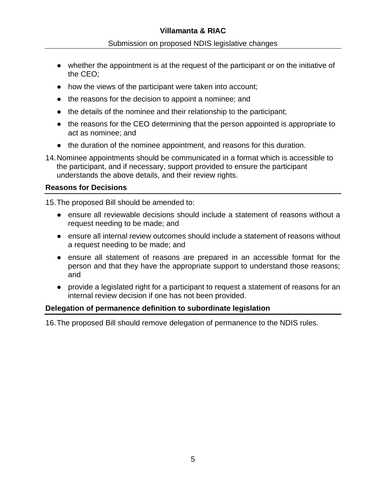- whether the appointment is at the request of the participant or on the initiative of the CEO;
- how the views of the participant were taken into account;
- the reasons for the decision to appoint a nominee; and
- the details of the nominee and their relationship to the participant;
- the reasons for the CEO determining that the person appointed is appropriate to act as nominee; and
- the duration of the nominee appointment, and reasons for this duration.
- 14.Nominee appointments should be communicated in a format which is accessible to the participant, and if necessary, support provided to ensure the participant understands the above details, and their review rights.

# **Reasons for Decisions**

15.The proposed Bill should be amended to:

- ensure all reviewable decisions should include a statement of reasons without a request needing to be made; and
- ensure all internal review outcomes should include a statement of reasons without a request needing to be made; and
- ensure all statement of reasons are prepared in an accessible format for the person and that they have the appropriate support to understand those reasons; and
- provide a legislated right for a participant to request a statement of reasons for an internal review decision if one has not been provided.

# **Delegation of permanence definition to subordinate legislation**

16.The proposed Bill should remove delegation of permanence to the NDIS rules.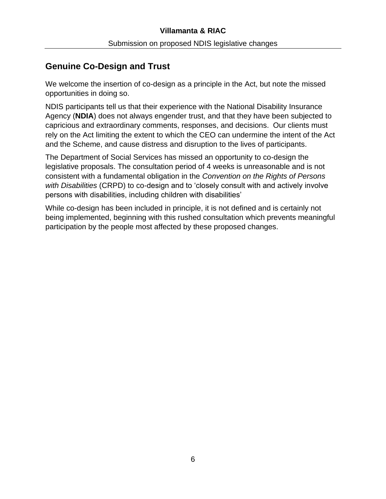# <span id="page-5-0"></span>**Genuine Co-Design and Trust**

We welcome the insertion of co-design as a principle in the Act, but note the missed opportunities in doing so.

NDIS participants tell us that their experience with the National Disability Insurance Agency (**NDIA**) does not always engender trust, and that they have been subjected to capricious and extraordinary comments, responses, and decisions. Our clients must rely on the Act limiting the extent to which the CEO can undermine the intent of the Act and the Scheme, and cause distress and disruption to the lives of participants.

The Department of Social Services has missed an opportunity to co-design the legislative proposals. The consultation period of 4 weeks is unreasonable and is not consistent with a fundamental obligation in the *Convention on the Rights of Persons with Disabilities* (CRPD) to co-design and to 'closely consult with and actively involve persons with disabilities, including children with disabilities'

While co-design has been included in principle, it is not defined and is certainly not being implemented, beginning with this rushed consultation which prevents meaningful participation by the people most affected by these proposed changes.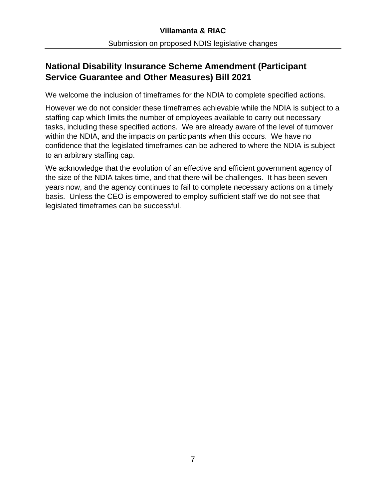# <span id="page-6-0"></span>**National Disability Insurance Scheme Amendment (Participant Service Guarantee and Other Measures) Bill 2021**

We welcome the inclusion of timeframes for the NDIA to complete specified actions.

However we do not consider these timeframes achievable while the NDIA is subject to a staffing cap which limits the number of employees available to carry out necessary tasks, including these specified actions. We are already aware of the level of turnover within the NDIA, and the impacts on participants when this occurs. We have no confidence that the legislated timeframes can be adhered to where the NDIA is subject to an arbitrary staffing cap.

We acknowledge that the evolution of an effective and efficient government agency of the size of the NDIA takes time, and that there will be challenges. It has been seven years now, and the agency continues to fail to complete necessary actions on a timely basis. Unless the CEO is empowered to employ sufficient staff we do not see that legislated timeframes can be successful.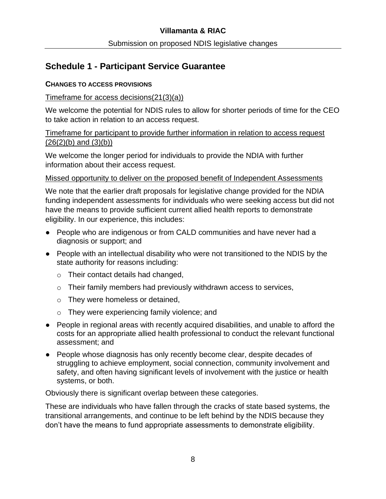# <span id="page-7-0"></span>**Schedule 1 - Participant Service Guarantee**

## <span id="page-7-1"></span>**CHANGES TO ACCESS PROVISIONS**

# Timeframe for access decisions(21(3)(a))

We welcome the potential for NDIS rules to allow for shorter periods of time for the CEO to take action in relation to an access request.

## Timeframe for participant to provide further information in relation to access request  $(26(2)(b)$  and  $(3)(b))$

We welcome the longer period for individuals to provide the NDIA with further information about their access request.

# Missed opportunity to deliver on the proposed benefit of Independent Assessments

We note that the earlier draft proposals for legislative change provided for the NDIA funding independent assessments for individuals who were seeking access but did not have the means to provide sufficient current allied health reports to demonstrate eligibility. In our experience, this includes:

- People who are indigenous or from CALD communities and have never had a diagnosis or support; and
- People with an intellectual disability who were not transitioned to the NDIS by the state authority for reasons including:
	- o Their contact details had changed,
	- o Their family members had previously withdrawn access to services,
	- o They were homeless or detained,
	- o They were experiencing family violence; and
- People in regional areas with recently acquired disabilities, and unable to afford the costs for an appropriate allied health professional to conduct the relevant functional assessment; and
- People whose diagnosis has only recently become clear, despite decades of struggling to achieve employment, social connection, community involvement and safety, and often having significant levels of involvement with the justice or health systems, or both.

Obviously there is significant overlap between these categories.

These are individuals who have fallen through the cracks of state based systems, the transitional arrangements, and continue to be left behind by the NDIS because they don't have the means to fund appropriate assessments to demonstrate eligibility.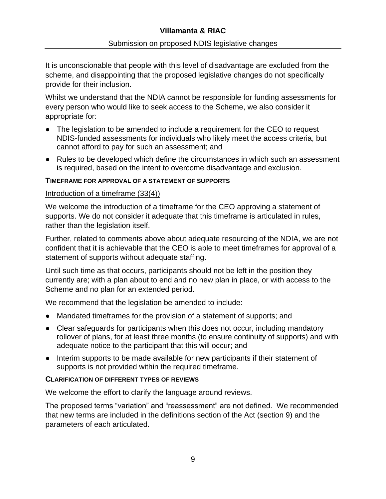# **Villamanta & RIAC**

It is unconscionable that people with this level of disadvantage are excluded from the scheme, and disappointing that the proposed legislative changes do not specifically provide for their inclusion.

Whilst we understand that the NDIA cannot be responsible for funding assessments for every person who would like to seek access to the Scheme, we also consider it appropriate for:

- The legislation to be amended to include a requirement for the CEO to request NDIS-funded assessments for individuals who likely meet the access criteria, but cannot afford to pay for such an assessment; and
- Rules to be developed which define the circumstances in which such an assessment is required, based on the intent to overcome disadvantage and exclusion.

#### <span id="page-8-0"></span>**TIMEFRAME FOR APPROVAL OF A STATEMENT OF SUPPORTS**

#### Introduction of a timeframe (33(4))

We welcome the introduction of a timeframe for the CEO approving a statement of supports. We do not consider it adequate that this timeframe is articulated in rules, rather than the legislation itself.

Further, related to comments above about adequate resourcing of the NDIA, we are not confident that it is achievable that the CEO is able to meet timeframes for approval of a statement of supports without adequate staffing.

Until such time as that occurs, participants should not be left in the position they currently are; with a plan about to end and no new plan in place, or with access to the Scheme and no plan for an extended period.

We recommend that the legislation be amended to include:

- Mandated timeframes for the provision of a statement of supports; and
- Clear safeguards for participants when this does not occur, including mandatory rollover of plans, for at least three months (to ensure continuity of supports) and with adequate notice to the participant that this will occur; and
- Interim supports to be made available for new participants if their statement of supports is not provided within the required timeframe.

#### <span id="page-8-1"></span>**CLARIFICATION OF DIFFERENT TYPES OF REVIEWS**

We welcome the effort to clarify the language around reviews.

The proposed terms "variation" and "reassessment" are not defined. We recommended that new terms are included in the definitions section of the Act (section 9) and the parameters of each articulated.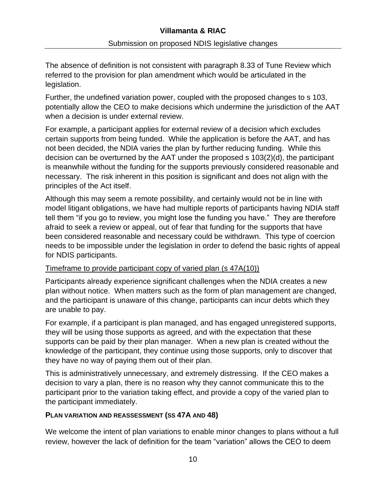The absence of definition is not consistent with paragraph 8.33 of Tune Review which referred to the provision for plan amendment which would be articulated in the legislation.

Further, the undefined variation power, coupled with the proposed changes to s 103, potentially allow the CEO to make decisions which undermine the jurisdiction of the AAT when a decision is under external review.

For example, a participant applies for external review of a decision which excludes certain supports from being funded. While the application is before the AAT, and has not been decided, the NDIA varies the plan by further reducing funding. While this decision can be overturned by the AAT under the proposed s 103(2)(d), the participant is meanwhile without the funding for the supports previously considered reasonable and necessary. The risk inherent in this position is significant and does not align with the principles of the Act itself.

Although this may seem a remote possibility, and certainly would not be in line with model litigant obligations, we have had multiple reports of participants having NDIA staff tell them "if you go to review, you might lose the funding you have." They are therefore afraid to seek a review or appeal, out of fear that funding for the supports that have been considered reasonable and necessary could be withdrawn. This type of coercion needs to be impossible under the legislation in order to defend the basic rights of appeal for NDIS participants.

# Timeframe to provide participant copy of varied plan (s 47A(10))

Participants already experience significant challenges when the NDIA creates a new plan without notice. When matters such as the form of plan management are changed, and the participant is unaware of this change, participants can incur debts which they are unable to pay.

For example, if a participant is plan managed, and has engaged unregistered supports, they will be using those supports as agreed, and with the expectation that these supports can be paid by their plan manager. When a new plan is created without the knowledge of the participant, they continue using those supports, only to discover that they have no way of paying them out of their plan.

This is administratively unnecessary, and extremely distressing. If the CEO makes a decision to vary a plan, there is no reason why they cannot communicate this to the participant prior to the variation taking effect, and provide a copy of the varied plan to the participant immediately.

#### <span id="page-9-0"></span>**PLAN VARIATION AND REASSESSMENT (SS 47A AND 48)**

We welcome the intent of plan variations to enable minor changes to plans without a full review, however the lack of definition for the team "variation" allows the CEO to deem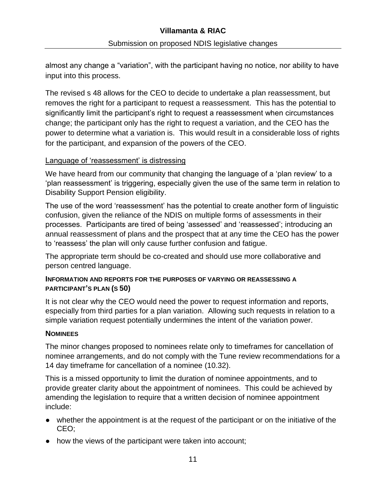almost any change a "variation", with the participant having no notice, nor ability to have input into this process.

The revised s 48 allows for the CEO to decide to undertake a plan reassessment, but removes the right for a participant to request a reassessment. This has the potential to significantly limit the participant's right to request a reassessment when circumstances change; the participant only has the right to request a variation, and the CEO has the power to determine what a variation is. This would result in a considerable loss of rights for the participant, and expansion of the powers of the CEO.

## Language of 'reassessment' is distressing

We have heard from our community that changing the language of a 'plan review' to a 'plan reassessment' is triggering, especially given the use of the same term in relation to Disability Support Pension eligibility.

The use of the word 'reassessment' has the potential to create another form of linguistic confusion, given the reliance of the NDIS on multiple forms of assessments in their processes. Participants are tired of being 'assessed' and 'reassessed'; introducing an annual reassessment of plans and the prospect that at any time the CEO has the power to 'reassess' the plan will only cause further confusion and fatigue.

The appropriate term should be co-created and should use more collaborative and person centred language.

## <span id="page-10-0"></span>**INFORMATION AND REPORTS FOR THE PURPOSES OF VARYING OR REASSESSING A PARTICIPANT'S PLAN (S 50)**

It is not clear why the CEO would need the power to request information and reports, especially from third parties for a plan variation. Allowing such requests in relation to a simple variation request potentially undermines the intent of the variation power.

#### <span id="page-10-1"></span>**NOMINEES**

The minor changes proposed to nominees relate only to timeframes for cancellation of nominee arrangements, and do not comply with the Tune review recommendations for a 14 day timeframe for cancellation of a nominee (10.32).

This is a missed opportunity to limit the duration of nominee appointments, and to provide greater clarity about the appointment of nominees. This could be achieved by amending the legislation to require that a written decision of nominee appointment include:

- whether the appointment is at the request of the participant or on the initiative of the CEO;
- how the views of the participant were taken into account;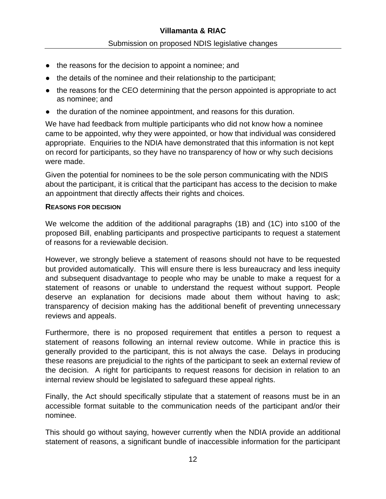- the reasons for the decision to appoint a nominee; and
- the details of the nominee and their relationship to the participant;
- the reasons for the CEO determining that the person appointed is appropriate to act as nominee; and
- the duration of the nominee appointment, and reasons for this duration.

We have had feedback from multiple participants who did not know how a nominee came to be appointed, why they were appointed, or how that individual was considered appropriate. Enquiries to the NDIA have demonstrated that this information is not kept on record for participants, so they have no transparency of how or why such decisions were made.

Given the potential for nominees to be the sole person communicating with the NDIS about the participant, it is critical that the participant has access to the decision to make an appointment that directly affects their rights and choices.

#### <span id="page-11-0"></span>**REASONS FOR DECISION**

We welcome the addition of the additional paragraphs (1B) and (1C) into s100 of the proposed Bill, enabling participants and prospective participants to request a statement of reasons for a reviewable decision.

However, we strongly believe a statement of reasons should not have to be requested but provided automatically. This will ensure there is less bureaucracy and less inequity and subsequent disadvantage to people who may be unable to make a request for a statement of reasons or unable to understand the request without support. People deserve an explanation for decisions made about them without having to ask; transparency of decision making has the additional benefit of preventing unnecessary reviews and appeals.

Furthermore, there is no proposed requirement that entitles a person to request a statement of reasons following an internal review outcome. While in practice this is generally provided to the participant, this is not always the case. Delays in producing these reasons are prejudicial to the rights of the participant to seek an external review of the decision. A right for participants to request reasons for decision in relation to an internal review should be legislated to safeguard these appeal rights.

Finally, the Act should specifically stipulate that a statement of reasons must be in an accessible format suitable to the communication needs of the participant and/or their nominee.

This should go without saying, however currently when the NDIA provide an additional statement of reasons, a significant bundle of inaccessible information for the participant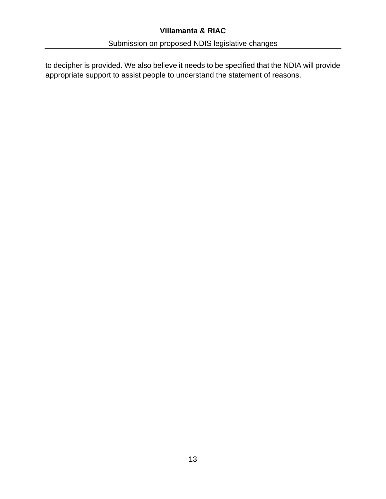# **Villamanta & RIAC**

to decipher is provided. We also believe it needs to be specified that the NDIA will provide appropriate support to assist people to understand the statement of reasons.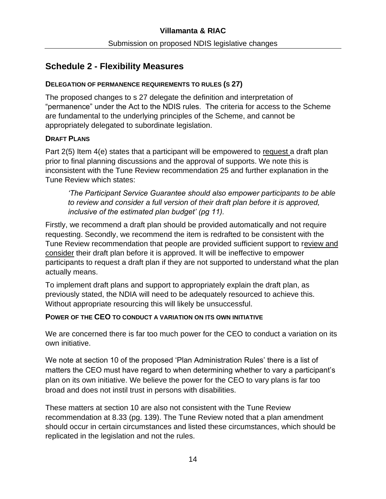# <span id="page-13-0"></span>**Schedule 2 - Flexibility Measures**

#### <span id="page-13-1"></span>**DELEGATION OF PERMANENCE REQUIREMENTS TO RULES (S 27)**

The proposed changes to s 27 delegate the definition and interpretation of "permanence" under the Act to the NDIS rules. The criteria for access to the Scheme are fundamental to the underlying principles of the Scheme, and cannot be appropriately delegated to subordinate legislation.

## <span id="page-13-2"></span>**DRAFT PLANS**

Part 2(5) Item 4(e) states that a participant will be empowered to request a draft plan prior to final planning discussions and the approval of supports. We note this is inconsistent with the Tune Review recommendation 25 and further explanation in the Tune Review which states:

*'The Participant Service Guarantee should also empower participants to be able to review and consider a full version of their draft plan before it is approved, inclusive of the estimated plan budget' (pg 11).*

Firstly, we recommend a draft plan should be provided automatically and not require requesting. Secondly, we recommend the item is redrafted to be consistent with the Tune Review recommendation that people are provided sufficient support to review and consider their draft plan before it is approved. It will be ineffective to empower participants to request a draft plan if they are not supported to understand what the plan actually means.

To implement draft plans and support to appropriately explain the draft plan, as previously stated, the NDIA will need to be adequately resourced to achieve this. Without appropriate resourcing this will likely be unsuccessful.

# <span id="page-13-3"></span>**POWER OF THE CEO TO CONDUCT A VARIATION ON ITS OWN INITIATIVE**

We are concerned there is far too much power for the CEO to conduct a variation on its own initiative.

We note at section 10 of the proposed 'Plan Administration Rules' there is a list of matters the CEO must have regard to when determining whether to vary a participant's plan on its own initiative. We believe the power for the CEO to vary plans is far too broad and does not instil trust in persons with disabilities.

These matters at section 10 are also not consistent with the Tune Review recommendation at 8.33 (pg. 139). The Tune Review noted that a plan amendment should occur in certain circumstances and listed these circumstances, which should be replicated in the legislation and not the rules.